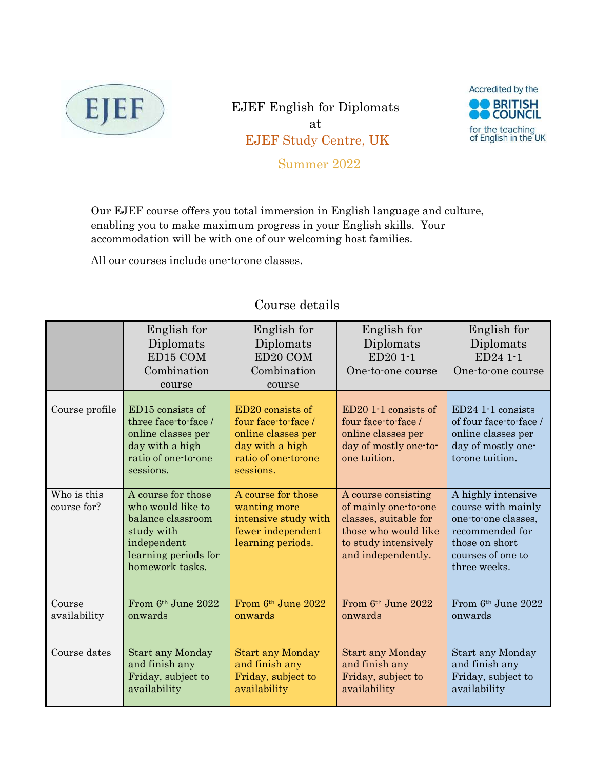

EJEF English for Diplomats at EJEF Study Centre, UK Summer 2022



Our EJEF course offers you total immersion in English language and culture, enabling you to make maximum progress in your English skills. Your accommodation will be with one of our welcoming host families.

All our courses include one-to-one classes.

|                            | English for<br>Diplomats<br>ED15 COM<br>Combination<br>course                                                                        | English for<br>Diplomats<br>ED20 COM<br>Combination<br>course                                                        | English for<br>Diplomats<br>ED20 1-1<br>One-to-one course                                                                                  | English for<br>Diplomats<br>ED24 1-1<br>One-to-one course                                                                                 |
|----------------------------|--------------------------------------------------------------------------------------------------------------------------------------|----------------------------------------------------------------------------------------------------------------------|--------------------------------------------------------------------------------------------------------------------------------------------|-------------------------------------------------------------------------------------------------------------------------------------------|
| Course profile             | ED15 consists of<br>three face-to-face/<br>online classes per<br>day with a high<br>ratio of one-to-one<br>sessions.                 | ED20 consists of<br>four face-to-face /<br>online classes per<br>day with a high<br>ratio of one-to-one<br>sessions. | $ED201-1$ consists of<br>four face-to-face /<br>online classes per<br>day of mostly one-to-<br>one tuition.                                | $ED24$ 1-1 consists<br>of four face-to-face /<br>online classes per<br>day of mostly one-<br>to one tuition.                              |
| Who is this<br>course for? | A course for those<br>who would like to<br>balance classroom<br>study with<br>independent<br>learning periods for<br>homework tasks. | A course for those<br>wanting more<br>intensive study with<br>fewer independent<br>learning periods.                 | A course consisting<br>of mainly one-to-one<br>classes, suitable for<br>those who would like<br>to study intensively<br>and independently. | A highly intensive<br>course with mainly<br>one-to-one classes,<br>recommended for<br>those on short<br>courses of one to<br>three weeks. |
| Course<br>availability     | From $6th$ June 2022<br>onwards                                                                                                      | From 6th June 2022<br>onwards                                                                                        | From $6th$ June 2022<br>onwards                                                                                                            | From 6th June 2022<br>onwards                                                                                                             |
| Course dates               | <b>Start any Monday</b><br>and finish any<br>Friday, subject to<br>availability                                                      | <b>Start any Monday</b><br>and finish any<br>Friday, subject to<br>availability                                      | <b>Start any Monday</b><br>and finish any<br>Friday, subject to<br>availability                                                            | Start any Monday<br>and finish any<br>Friday, subject to<br>availability                                                                  |

# Course details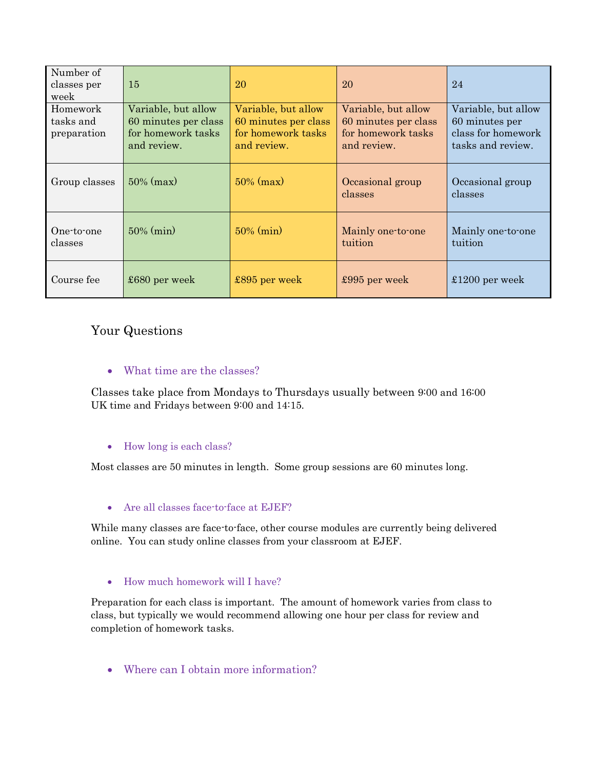| Number of<br>classes per<br>week     | 15                                                                               | 20                                                                               | 20                                                                               | 24                                                                               |
|--------------------------------------|----------------------------------------------------------------------------------|----------------------------------------------------------------------------------|----------------------------------------------------------------------------------|----------------------------------------------------------------------------------|
| Homework<br>tasks and<br>preparation | Variable, but allow<br>60 minutes per class<br>for homework tasks<br>and review. | Variable, but allow<br>60 minutes per class<br>for homework tasks<br>and review. | Variable, but allow<br>60 minutes per class<br>for homework tasks<br>and review. | Variable, but allow<br>60 minutes per<br>class for homework<br>tasks and review. |
| Group classes                        | $50\%$ (max)                                                                     | $50\%$ (max)                                                                     | Occasional group<br>classes                                                      | Occasional group<br>classes                                                      |
| One-to-one<br>classes                | $50\%$ (min)                                                                     | $50\%$ (min)                                                                     | Mainly one-to-one<br>tuition                                                     | Mainly one-to-one<br>tuition                                                     |
| Course fee                           | $$680$ per week                                                                  | $\pounds895$ per week                                                            | £995 per week                                                                    | $£1200$ per week                                                                 |

# Your Questions

## What time are the classes?

Classes take place from Mondays to Thursdays usually between 9:00 and 16:00 UK time and Fridays between 9:00 and 14:15.

### How long is each class?

Most classes are 50 minutes in length. Some group sessions are 60 minutes long.

### Are all classes face-to-face at EJEF?

While many classes are face-to-face, other course modules are currently being delivered online. You can study online classes from your classroom at EJEF.

#### How much homework will I have?

Preparation for each class is important. The amount of homework varies from class to class, but typically we would recommend allowing one hour per class for review and completion of homework tasks.

Where can I obtain more information?